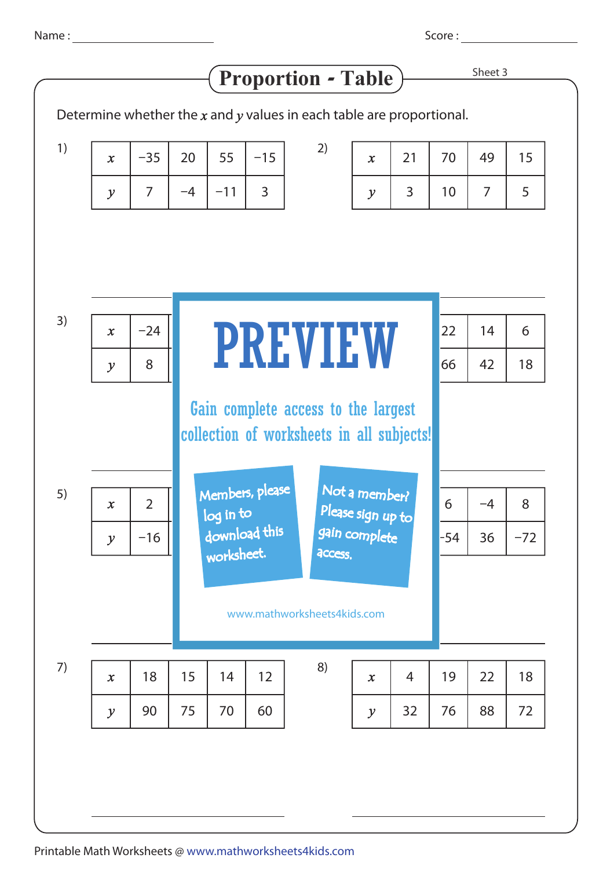